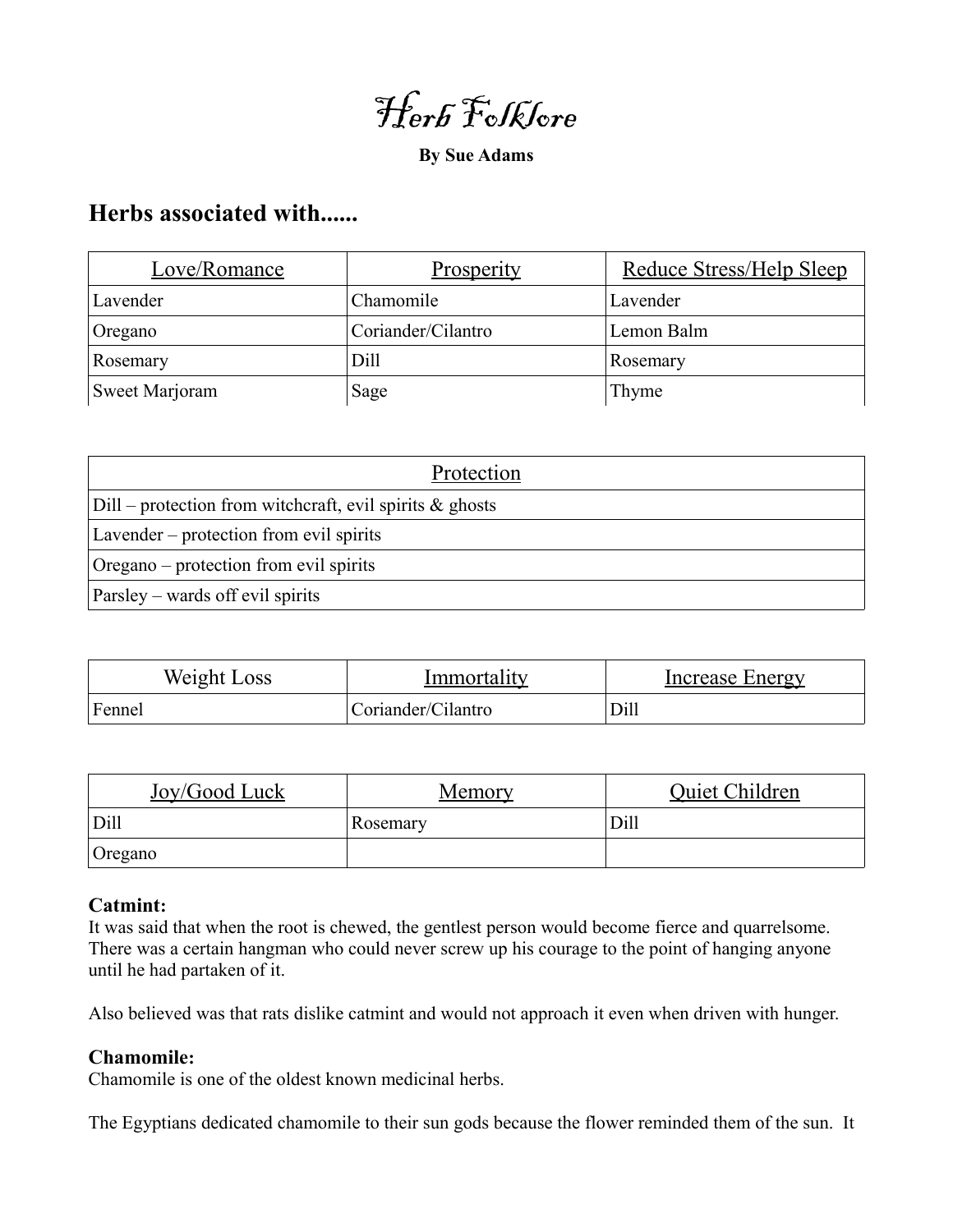Herb Folklore

**By Sue Adams**

# **Herbs associated with......**

| Love/Romance   | Prosperity         | Reduce Stress/Help Sleep |
|----------------|--------------------|--------------------------|
| Lavender       | Chamomile          | Lavender                 |
| Oregano        | Coriander/Cilantro | Lemon Balm               |
| Rosemary       | Dill               | Rosemary                 |
| Sweet Marjoram | Sage               | Thyme                    |

| Protection                                                 |  |  |
|------------------------------------------------------------|--|--|
| $Dill$ – protection from witchcraft, evil spirits & ghosts |  |  |
| Lavender – protection from evil spirits                    |  |  |
| Oregano – protection from evil spirits                     |  |  |
| Parsley – wards off evil spirits                           |  |  |

| Weight Loss | lmmortalıtv        | Increase Energy |
|-------------|--------------------|-----------------|
| Fennel      | Coriander/Cilantro | Dill            |

| Joy/Good Luck | Memory   | Quiet Children |
|---------------|----------|----------------|
| Dill          | Rosemary | Dill           |
| Oregano       |          |                |

# **Catmint:**

It was said that when the root is chewed, the gentlest person would become fierce and quarrelsome. There was a certain hangman who could never screw up his courage to the point of hanging anyone until he had partaken of it.

Also believed was that rats dislike catmint and would not approach it even when driven with hunger.

# **Chamomile:**

Chamomile is one of the oldest known medicinal herbs.

The Egyptians dedicated chamomile to their sun gods because the flower reminded them of the sun. It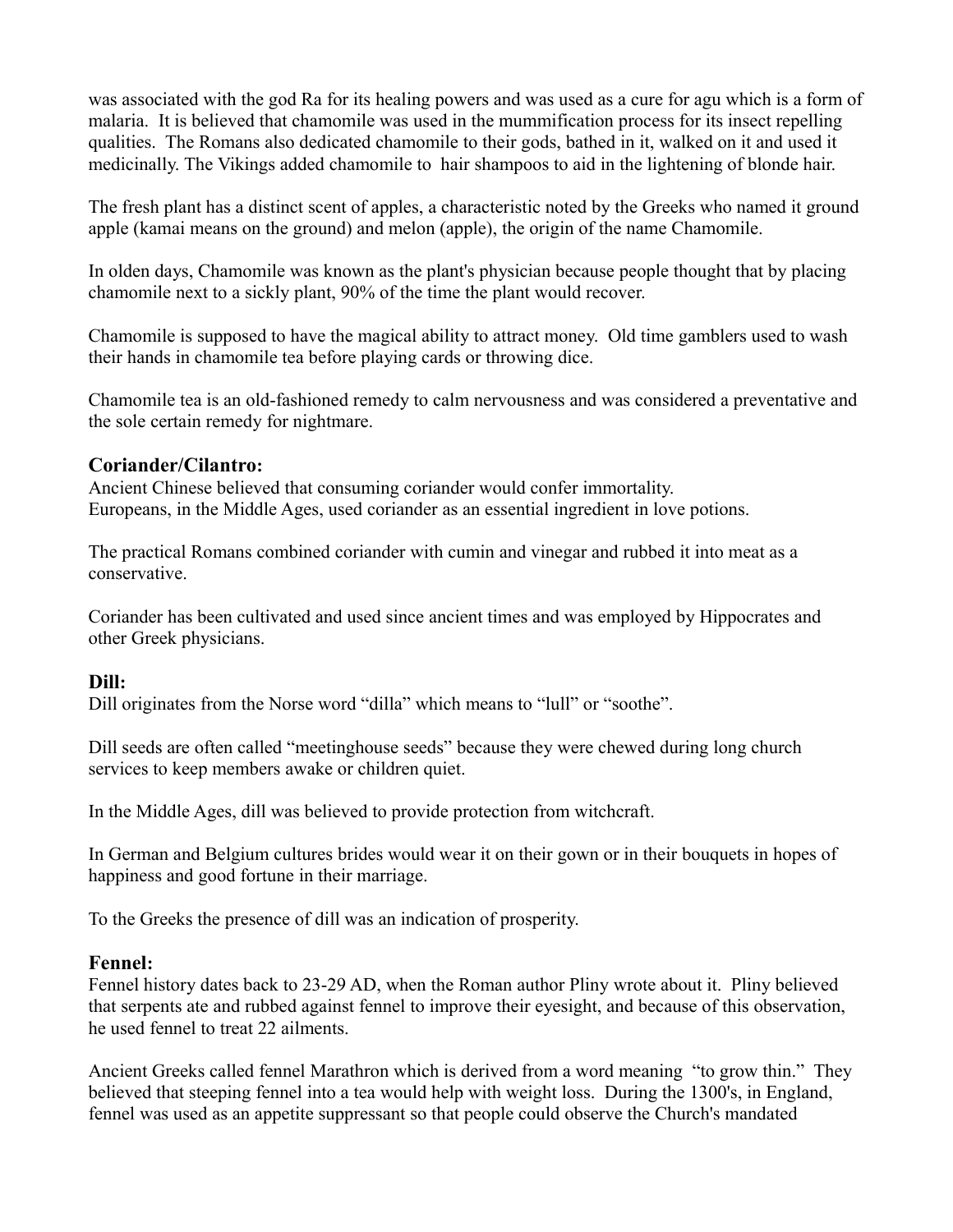was associated with the god Ra for its healing powers and was used as a cure for agu which is a form of malaria. It is believed that chamomile was used in the mummification process for its insect repelling qualities. The Romans also dedicated chamomile to their gods, bathed in it, walked on it and used it medicinally. The Vikings added chamomile to hair shampoos to aid in the lightening of blonde hair.

The fresh plant has a distinct scent of apples, a characteristic noted by the Greeks who named it ground apple (kamai means on the ground) and melon (apple), the origin of the name Chamomile.

In olden days, Chamomile was known as the plant's physician because people thought that by placing chamomile next to a sickly plant, 90% of the time the plant would recover.

Chamomile is supposed to have the magical ability to attract money. Old time gamblers used to wash their hands in chamomile tea before playing cards or throwing dice.

Chamomile tea is an old-fashioned remedy to calm nervousness and was considered a preventative and the sole certain remedy for nightmare.

## **Coriander/Cilantro:**

Ancient Chinese believed that consuming coriander would confer immortality. Europeans, in the Middle Ages, used coriander as an essential ingredient in love potions.

The practical Romans combined coriander with cumin and vinegar and rubbed it into meat as a conservative.

Coriander has been cultivated and used since ancient times and was employed by Hippocrates and other Greek physicians.

# **Dill:**

Dill originates from the Norse word "dilla" which means to "lull" or "soothe".

Dill seeds are often called "meetinghouse seeds" because they were chewed during long church services to keep members awake or children quiet.

In the Middle Ages, dill was believed to provide protection from witchcraft.

In German and Belgium cultures brides would wear it on their gown or in their bouquets in hopes of happiness and good fortune in their marriage.

To the Greeks the presence of dill was an indication of prosperity.

# **Fennel:**

Fennel history dates back to 23-29 AD, when the Roman author Pliny wrote about it. Pliny believed that serpents ate and rubbed against fennel to improve their eyesight, and because of this observation, he used fennel to treat 22 ailments.

Ancient Greeks called fennel Marathron which is derived from a word meaning "to grow thin." They believed that steeping fennel into a tea would help with weight loss. During the 1300's, in England, fennel was used as an appetite suppressant so that people could observe the Church's mandated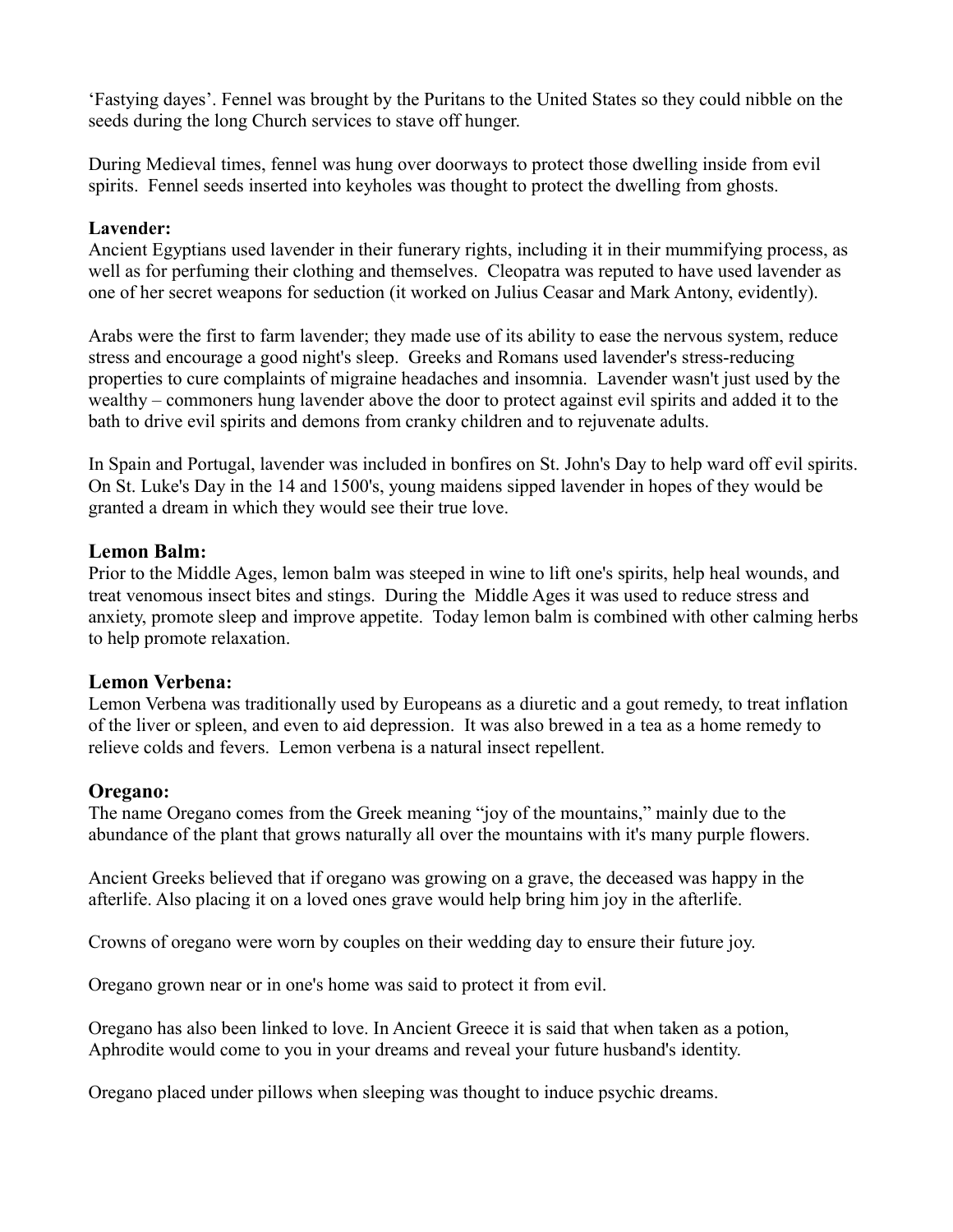'Fastying dayes'. Fennel was brought by the Puritans to the United States so they could nibble on the seeds during the long Church services to stave off hunger.

During Medieval times, fennel was hung over doorways to protect those dwelling inside from evil spirits. Fennel seeds inserted into keyholes was thought to protect the dwelling from ghosts.

## **Lavender:**

Ancient Egyptians used lavender in their funerary rights, including it in their mummifying process, as well as for perfuming their clothing and themselves. Cleopatra was reputed to have used lavender as one of her secret weapons for seduction (it worked on Julius Ceasar and Mark Antony, evidently).

Arabs were the first to farm lavender; they made use of its ability to ease the nervous system, reduce stress and encourage a good night's sleep. Greeks and Romans used lavender's stress-reducing properties to cure complaints of migraine headaches and insomnia. Lavender wasn't just used by the wealthy – commoners hung lavender above the door to protect against evil spirits and added it to the bath to drive evil spirits and demons from cranky children and to rejuvenate adults.

In Spain and Portugal, lavender was included in bonfires on St. John's Day to help ward off evil spirits. On St. Luke's Day in the 14 and 1500's, young maidens sipped lavender in hopes of they would be granted a dream in which they would see their true love.

## **Lemon Balm:**

Prior to the Middle Ages, lemon balm was steeped in wine to lift one's spirits, help heal wounds, and treat venomous insect bites and stings. During the Middle Ages it was used to reduce stress and anxiety, promote sleep and improve appetite. Today lemon balm is combined with other calming herbs to help promote relaxation.

#### **Lemon Verbena:**

Lemon Verbena was traditionally used by Europeans as a diuretic and a gout remedy, to treat inflation of the liver or spleen, and even to aid depression. It was also brewed in a tea as a home remedy to relieve colds and fevers. Lemon verbena is a natural insect repellent.

#### **Oregano:**

The name Oregano comes from the Greek meaning "joy of the mountains," mainly due to the abundance of the plant that grows naturally all over the mountains with it's many purple flowers.

Ancient Greeks believed that if oregano was growing on a grave, the deceased was happy in the afterlife. Also placing it on a loved ones grave would help bring him joy in the afterlife.

Crowns of oregano were worn by couples on their wedding day to ensure their future joy.

Oregano grown near or in one's home was said to protect it from evil.

Oregano has also been linked to love. In Ancient Greece it is said that when taken as a potion, Aphrodite would come to you in your dreams and reveal your future husband's identity.

Oregano placed under pillows when sleeping was thought to induce psychic dreams.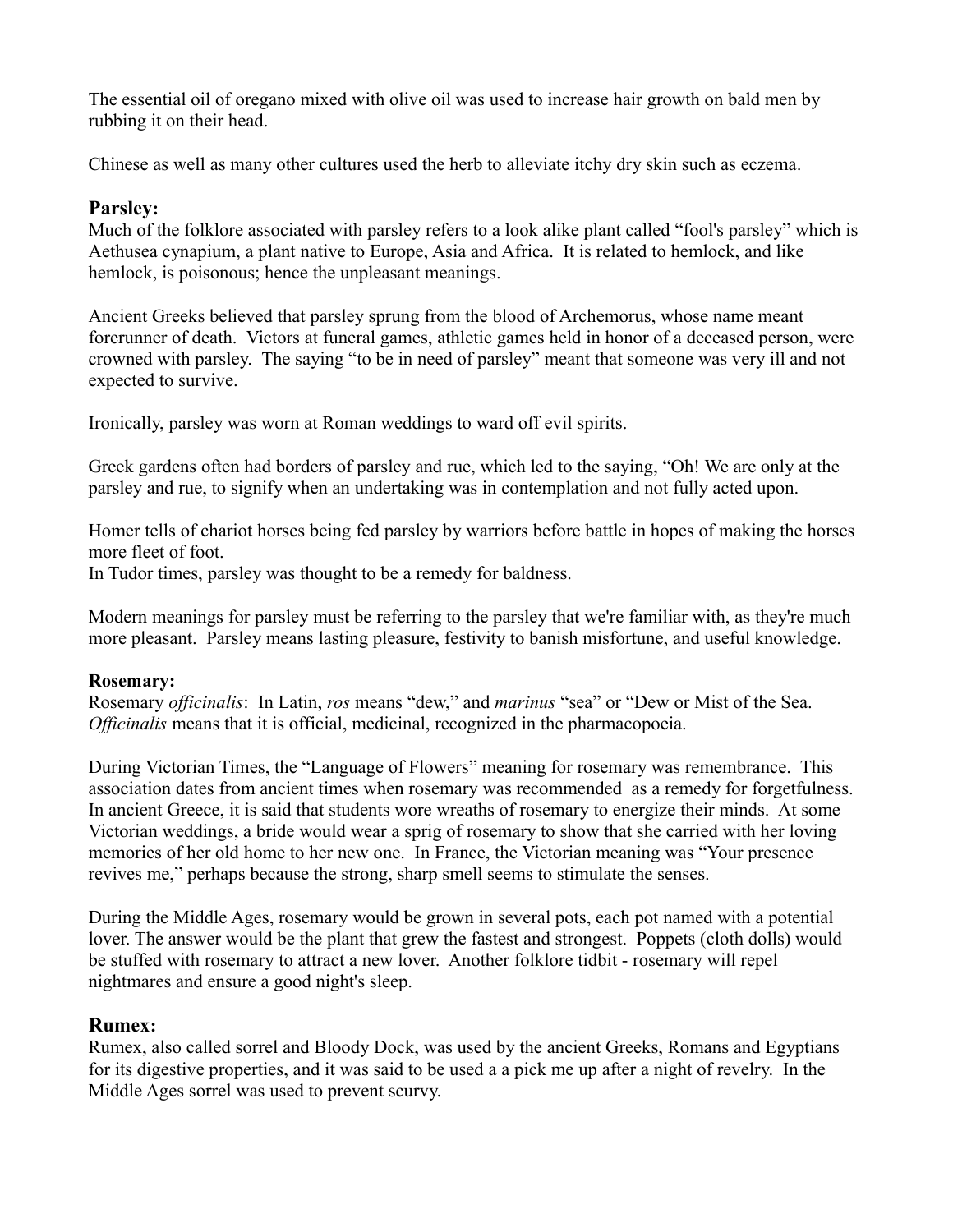The essential oil of oregano mixed with olive oil was used to increase hair growth on bald men by rubbing it on their head.

Chinese as well as many other cultures used the herb to alleviate itchy dry skin such as eczema.

# **Parsley:**

Much of the folklore associated with parsley refers to a look alike plant called "fool's parsley" which is Aethusea cynapium, a plant native to Europe, Asia and Africa. It is related to hemlock, and like hemlock, is poisonous; hence the unpleasant meanings.

Ancient Greeks believed that parsley sprung from the blood of Archemorus, whose name meant forerunner of death. Victors at funeral games, athletic games held in honor of a deceased person, were crowned with parsley. The saying "to be in need of parsley" meant that someone was very ill and not expected to survive.

Ironically, parsley was worn at Roman weddings to ward off evil spirits.

Greek gardens often had borders of parsley and rue, which led to the saying, "Oh! We are only at the parsley and rue, to signify when an undertaking was in contemplation and not fully acted upon.

Homer tells of chariot horses being fed parsley by warriors before battle in hopes of making the horses more fleet of foot.

In Tudor times, parsley was thought to be a remedy for baldness.

Modern meanings for parsley must be referring to the parsley that we're familiar with, as they're much more pleasant. Parsley means lasting pleasure, festivity to banish misfortune, and useful knowledge.

# **Rosemary:**

Rosemary *officinalis*: In Latin, *ros* means "dew," and *marinus* "sea" or "Dew or Mist of the Sea. *Officinalis* means that it is official, medicinal, recognized in the pharmacopoeia.

During Victorian Times, the "Language of Flowers" meaning for rosemary was remembrance. This association dates from ancient times when rosemary was recommended as a remedy for forgetfulness. In ancient Greece, it is said that students wore wreaths of rosemary to energize their minds. At some Victorian weddings, a bride would wear a sprig of rosemary to show that she carried with her loving memories of her old home to her new one. In France, the Victorian meaning was "Your presence revives me," perhaps because the strong, sharp smell seems to stimulate the senses.

During the Middle Ages, rosemary would be grown in several pots, each pot named with a potential lover. The answer would be the plant that grew the fastest and strongest. Poppets (cloth dolls) would be stuffed with rosemary to attract a new lover. Another folklore tidbit - rosemary will repel nightmares and ensure a good night's sleep.

# **Rumex:**

Rumex, also called sorrel and Bloody Dock, was used by the ancient Greeks, Romans and Egyptians for its digestive properties, and it was said to be used a a pick me up after a night of revelry. In the Middle Ages sorrel was used to prevent scurvy.